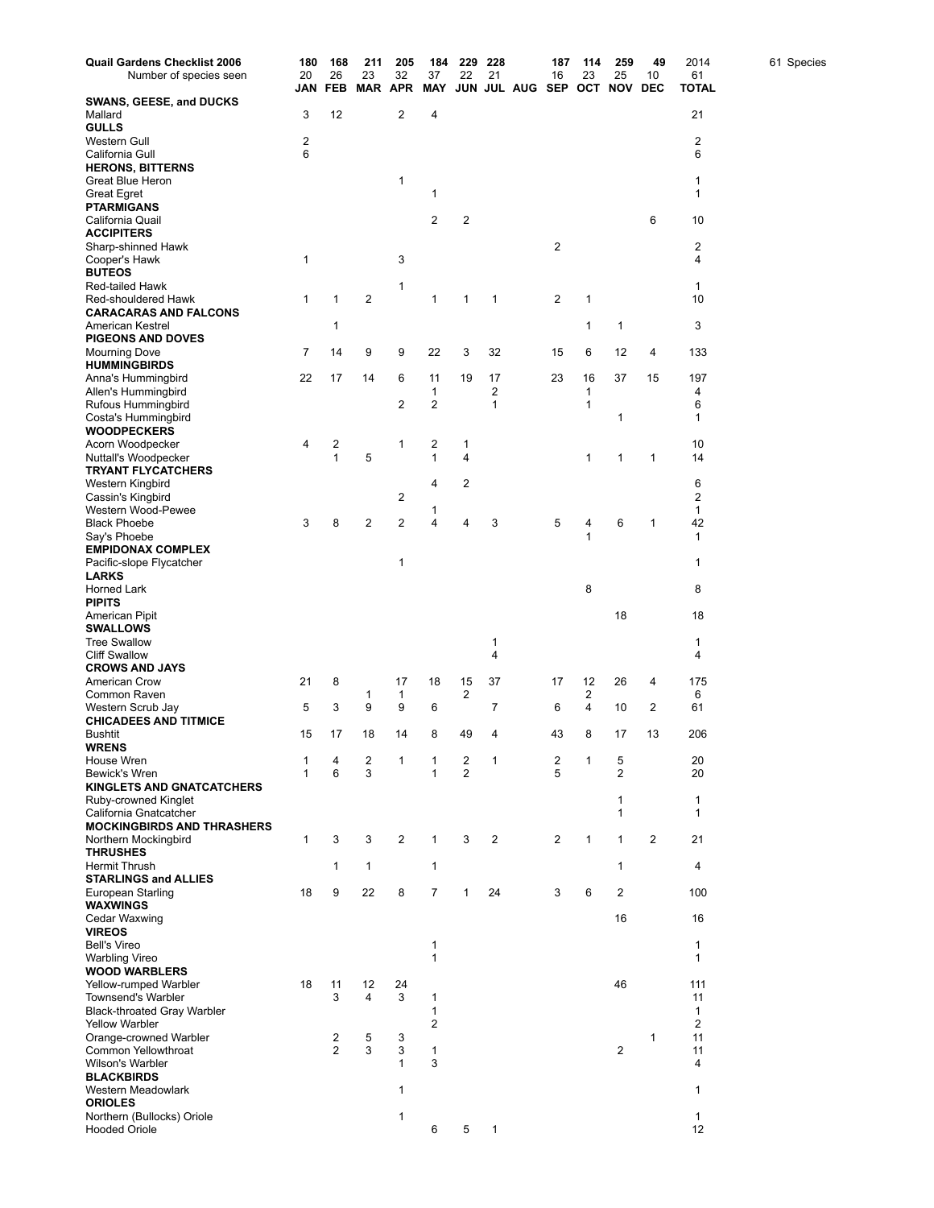| <b>Quail Gardens Checklist 2006</b>                 | 180    | 168            | 211            | 205                  | 184                | 229                 | 228          |                         | 187            | 114     | 259                 | 49               | 2014               | 61 Species |
|-----------------------------------------------------|--------|----------------|----------------|----------------------|--------------------|---------------------|--------------|-------------------------|----------------|---------|---------------------|------------------|--------------------|------------|
| Number of species seen                              | 20     | 26             | 23             | 32<br><b>MAR APR</b> | 37<br><b>MAY</b>   | 22                  | 21           |                         | 16             | 23      | 25                  | 10<br><b>DEC</b> | 61<br><b>TOTAL</b> |            |
| <b>SWANS, GEESE, and DUCKS</b>                      | JAN    | FEB            |                |                      |                    |                     |              | JUN JUL AUG SEP OCT NOV |                |         |                     |                  |                    |            |
| Mallard                                             | 3      | 12             |                | $\overline{2}$       | 4                  |                     |              |                         |                |         |                     |                  | 21                 |            |
| <b>GULLS</b>                                        |        |                |                |                      |                    |                     |              |                         |                |         |                     |                  |                    |            |
| Western Gull                                        | 2      |                |                |                      |                    |                     |              |                         |                |         |                     |                  | 2                  |            |
| California Gull<br><b>HERONS, BITTERNS</b>          | 6      |                |                |                      |                    |                     |              |                         |                |         |                     |                  | 6                  |            |
| Great Blue Heron                                    |        |                |                | 1                    |                    |                     |              |                         |                |         |                     |                  | 1                  |            |
| <b>Great Egret</b>                                  |        |                |                |                      | 1                  |                     |              |                         |                |         |                     |                  | $\mathbf{1}$       |            |
| <b>PTARMIGANS</b>                                   |        |                |                |                      |                    |                     |              |                         |                |         |                     |                  |                    |            |
| California Quail<br><b>ACCIPITERS</b>               |        |                |                |                      | $\overline{2}$     | 2                   |              |                         |                |         |                     | 6                | 10                 |            |
| Sharp-shinned Hawk                                  |        |                |                |                      |                    |                     |              |                         | $\overline{2}$ |         |                     |                  | 2                  |            |
| Cooper's Hawk                                       | 1      |                |                | 3                    |                    |                     |              |                         |                |         |                     |                  | 4                  |            |
| <b>BUTEOS</b>                                       |        |                |                |                      |                    |                     |              |                         |                |         |                     |                  |                    |            |
| <b>Red-tailed Hawk</b>                              |        |                |                | 1                    |                    |                     |              |                         |                |         |                     |                  | $\mathbf{1}$       |            |
| Red-shouldered Hawk<br><b>CARACARAS AND FALCONS</b> | 1      | 1              | $\overline{2}$ |                      | 1                  | 1                   | 1            |                         | $\overline{2}$ | 1       |                     |                  | 10                 |            |
| American Kestrel                                    |        | 1              |                |                      |                    |                     |              |                         |                | 1       | 1                   |                  | 3                  |            |
| <b>PIGEONS AND DOVES</b>                            |        |                |                |                      |                    |                     |              |                         |                |         |                     |                  |                    |            |
| Mourning Dove                                       | 7      | 14             | 9              | 9                    | 22                 | 3                   | 32           |                         | 15             | 6       | 12                  | 4                | 133                |            |
| <b>HUMMINGBIRDS</b>                                 |        |                |                |                      |                    |                     |              |                         |                |         |                     |                  |                    |            |
| Anna's Hummingbird<br>Allen's Hummingbird           | 22     | 17             | 14             | 6                    | 11<br>$\mathbf{1}$ | 19                  | 17<br>2      |                         | 23             | 16<br>1 | 37                  | 15               | 197<br>4           |            |
| Rufous Hummingbird                                  |        |                |                | 2                    | 2                  |                     | 1            |                         |                | 1       |                     |                  | 6                  |            |
| Costa's Hummingbird                                 |        |                |                |                      |                    |                     |              |                         |                |         | 1                   |                  | 1                  |            |
| <b>WOODPECKERS</b>                                  |        |                |                |                      |                    |                     |              |                         |                |         |                     |                  |                    |            |
| Acorn Woodpecker                                    | 4      | 2              |                | 1                    | 2                  | 1                   |              |                         |                |         |                     |                  | 10                 |            |
| Nuttall's Woodpecker<br><b>TRYANT FLYCATCHERS</b>   |        | 1              | 5              |                      | 1                  | 4                   |              |                         |                | 1       | 1                   | 1                | 14                 |            |
| Western Kingbird                                    |        |                |                |                      | 4                  | 2                   |              |                         |                |         |                     |                  | 6                  |            |
| Cassin's Kingbird                                   |        |                |                | 2                    |                    |                     |              |                         |                |         |                     |                  | 2                  |            |
| Western Wood-Pewee                                  |        |                |                |                      | 1                  |                     |              |                         |                |         |                     |                  | $\mathbf{1}$       |            |
| <b>Black Phoebe</b>                                 | 3      | 8              | $\overline{2}$ | 2                    | 4                  | 4                   | 3            |                         | 5              | 4<br>1  | 6                   | 1                | 42                 |            |
| Say's Phoebe<br><b>EMPIDONAX COMPLEX</b>            |        |                |                |                      |                    |                     |              |                         |                |         |                     |                  | $\mathbf{1}$       |            |
| Pacific-slope Flycatcher                            |        |                |                | 1                    |                    |                     |              |                         |                |         |                     |                  | 1                  |            |
| <b>LARKS</b>                                        |        |                |                |                      |                    |                     |              |                         |                |         |                     |                  |                    |            |
| Horned Lark                                         |        |                |                |                      |                    |                     |              |                         |                | 8       |                     |                  | 8                  |            |
| <b>PIPITS</b>                                       |        |                |                |                      |                    |                     |              |                         |                |         |                     |                  | 18                 |            |
| American Pipit<br><b>SWALLOWS</b>                   |        |                |                |                      |                    |                     |              |                         |                |         | 18                  |                  |                    |            |
| <b>Tree Swallow</b>                                 |        |                |                |                      |                    |                     | 1            |                         |                |         |                     |                  | 1                  |            |
| <b>Cliff Swallow</b>                                |        |                |                |                      |                    |                     | 4            |                         |                |         |                     |                  | 4                  |            |
| <b>CROWS AND JAYS</b>                               |        |                |                |                      |                    |                     |              |                         |                |         |                     |                  |                    |            |
| American Crow<br>Common Raven                       | 21     | 8              | 1              | 17<br>1              | 18                 | 15<br>2             | 37           |                         | 17             | 12<br>2 | 26                  | 4                | 175<br>6           |            |
| Western Scrub Jay                                   | 5      | 3              | 9              | 9                    | 6                  |                     | 7            |                         | 6              | 4       | 10                  | 2                | 61                 |            |
| <b>CHICADEES AND TITMICE</b>                        |        |                |                |                      |                    |                     |              |                         |                |         |                     |                  |                    |            |
| <b>Bushtit</b>                                      | 15     | 17             | 18             | 14                   | 8                  | 49                  | 4            |                         | 43             | 8       | 17                  | 13               | 206                |            |
| <b>WRENS</b>                                        |        |                |                |                      |                    |                     |              |                         |                |         |                     |                  |                    |            |
| House Wren<br>Bewick's Wren                         | 1<br>1 | 4<br>6         | 2<br>3         | 1                    | 1<br>$\mathbf{1}$  | 2<br>$\overline{2}$ | 1            |                         | 2<br>5         | 1       | 5<br>$\overline{2}$ |                  | 20<br>20           |            |
| <b>KINGLETS AND GNATCATCHERS</b>                    |        |                |                |                      |                    |                     |              |                         |                |         |                     |                  |                    |            |
| Ruby-crowned Kinglet                                |        |                |                |                      |                    |                     |              |                         |                |         | 1                   |                  | 1                  |            |
| California Gnatcatcher                              |        |                |                |                      |                    |                     |              |                         |                |         | 1                   |                  | $\mathbf{1}$       |            |
| <b>MOCKINGBIRDS AND THRASHERS</b>                   |        |                |                |                      |                    |                     |              |                         |                |         |                     |                  |                    |            |
| Northern Mockingbird<br><b>THRUSHES</b>             | 1      | 3              | 3              | 2                    | $\mathbf{1}$       | 3                   | 2            |                         | 2              | 1       | 1                   | 2                | 21                 |            |
| <b>Hermit Thrush</b>                                |        | $\mathbf{1}$   | 1              |                      | 1                  |                     |              |                         |                |         | 1                   |                  | 4                  |            |
| <b>STARLINGS and ALLIES</b>                         |        |                |                |                      |                    |                     |              |                         |                |         |                     |                  |                    |            |
| European Starling                                   | 18     | 9              | 22             | 8                    | $\overline{7}$     | 1                   | 24           |                         | 3              | 6       | 2                   |                  | 100                |            |
| <b>WAXWINGS</b><br>Cedar Waxwing                    |        |                |                |                      |                    |                     |              |                         |                |         | 16                  |                  | 16                 |            |
| <b>VIREOS</b>                                       |        |                |                |                      |                    |                     |              |                         |                |         |                     |                  |                    |            |
| <b>Bell's Vireo</b>                                 |        |                |                |                      | 1                  |                     |              |                         |                |         |                     |                  | 1                  |            |
| <b>Warbling Vireo</b>                               |        |                |                |                      | 1                  |                     |              |                         |                |         |                     |                  | 1                  |            |
| <b>WOOD WARBLERS</b>                                |        |                |                |                      |                    |                     |              |                         |                |         |                     |                  |                    |            |
| Yellow-rumped Warbler<br>Townsend's Warbler         | 18     | 11<br>3        | 12<br>4        | 24<br>3              | 1                  |                     |              |                         |                |         | 46                  |                  | 111<br>11          |            |
| <b>Black-throated Gray Warbler</b>                  |        |                |                |                      | 1                  |                     |              |                         |                |         |                     |                  | $\mathbf{1}$       |            |
| <b>Yellow Warbler</b>                               |        |                |                |                      | 2                  |                     |              |                         |                |         |                     |                  | 2                  |            |
| Orange-crowned Warbler                              |        | 2              | 5              | 3                    |                    |                     |              |                         |                |         |                     | 1                | 11                 |            |
| Common Yellowthroat                                 |        | $\overline{2}$ | 3              | 3                    | 1                  |                     |              |                         |                |         | 2                   |                  | 11                 |            |
| Wilson's Warbler<br><b>BLACKBIRDS</b>               |        |                |                | 1                    | 3                  |                     |              |                         |                |         |                     |                  | 4                  |            |
| Western Meadowlark                                  |        |                |                | 1                    |                    |                     |              |                         |                |         |                     |                  | $\mathbf{1}$       |            |
| <b>ORIOLES</b>                                      |        |                |                |                      |                    |                     |              |                         |                |         |                     |                  |                    |            |
| Northern (Bullocks) Oriole                          |        |                |                | 1                    |                    |                     |              |                         |                |         |                     |                  | $\mathbf{1}$       |            |
| <b>Hooded Oriole</b>                                |        |                |                |                      | 6                  | 5                   | $\mathbf{1}$ |                         |                |         |                     |                  | 12                 |            |